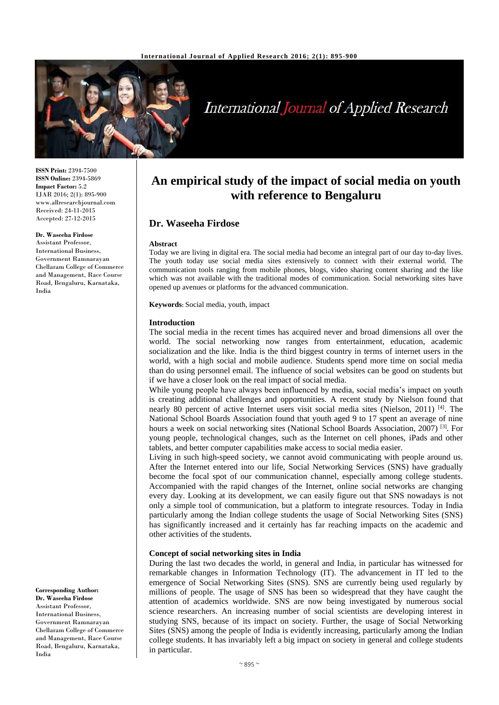

# International Journal of Applied Research

**ISSN Print:** 2394-7500 **ISSN Online:** 2394-5869 **Impact Factor:** 5.2 IJAR 2016; 2(1): 895-900 www.allresearchjournal.com Received: 24-11-2015 Accepted: 27-12-2015

## **Dr. Waseeha Firdose**

Assistant Professor, International Business, Government Ramnarayan Chellaram College of Commerce and Management, Race Course Road, Bengaluru, Karnataka, India

**Corresponding Author: Dr. Waseeha Firdose** Assistant Professor, International Business, Government Ramnarayan Chellaram College of Commerce and Management, Race Course Road, Bengaluru, Karnataka, India

## **An empirical study of the impact of social media on youth with reference to Bengaluru**

## **Dr. Waseeha Firdose**

#### **Abstract**

Today we are living in digital era. The social media had become an integral part of our day to-day lives. The youth today use social media sites extensively to connect with their external world. The communication tools ranging from mobile phones, blogs, video sharing content sharing and the like which was not available with the traditional modes of communication. Social networking sites have opened up avenues or platforms for the advanced communication.

**Keywords:** Social media, youth, impact

#### **Introduction**

The social media in the recent times has acquired never and broad dimensions all over the world. The social networking now ranges from entertainment, education, academic socialization and the like. India is the third biggest country in terms of internet users in the world, with a high social and mobile audience. Students spend more time on social media than do using personnel email. The influence of social websites can be good on students but if we have a closer look on the real impact of social media.

While young people have always been influenced by media, social media's impact on youth is creating additional challenges and opportunities. A recent study by Nielson found that nearly 80 percent of active Internet users visit social media sites (Nielson, 2011) [4] . The National School Boards Association found that youth aged 9 to 17 spent an average of nine hours a week on social networking sites (National School Boards Association, 2007)<sup>[3]</sup>. For young people, technological changes, such as the Internet on cell phones, iPads and other tablets, and better computer capabilities make access to social media easier.

Living in such high-speed society, we cannot avoid communicating with people around us. After the Internet entered into our life, Social Networking Services (SNS) have gradually become the focal spot of our communication channel, especially among college students. Accompanied with the rapid changes of the Internet, online social networks are changing every day. Looking at its development, we can easily figure out that SNS nowadays is not only a simple tool of communication, but a platform to integrate resources. Today in India particularly among the Indian college students the usage of Social Networking Sites (SNS) has significantly increased and it certainly has far reaching impacts on the academic and other activities of the students.

#### **Concept of social networking sites in India**

During the last two decades the world, in general and India, in particular has witnessed for remarkable changes in Information Technology (IT). The advancement in IT led to the emergence of Social Networking Sites (SNS). SNS are currently being used regularly by millions of people. The usage of SNS has been so widespread that they have caught the attention of academics worldwide. SNS are now being investigated by numerous social science researchers. An increasing number of social scientists are developing interest in studying SNS, because of its impact on society. Further, the usage of Social Networking Sites (SNS) among the people of India is evidently increasing, particularly among the Indian college students. It has invariably left a big impact on society in general and college students in particular.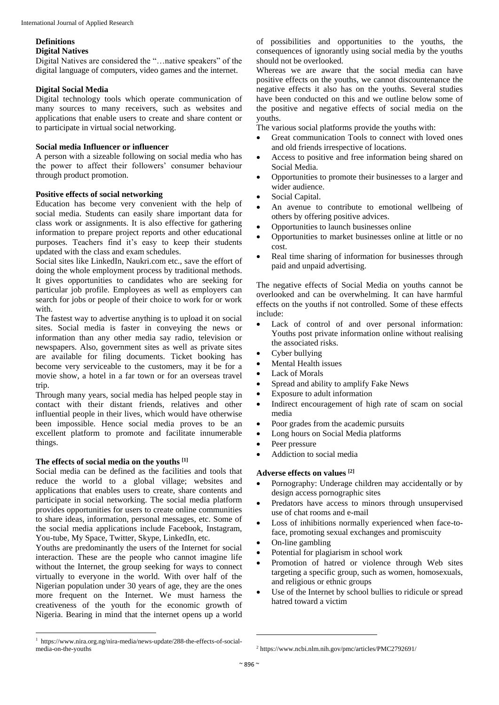#### **Definitions**

#### **Digital Natives**

Digital Natives are considered the "…native speakers" of the digital language of computers, video games and the internet.

## **Digital Social Media**

Digital technology tools which operate communication of many sources to many receivers, such as websites and applications that enable users to create and share content or to participate in virtual social networking.

#### **Social media Influencer or influencer**

A person with a sizeable following on social media who has the power to affect their followers' consumer behaviour through product promotion.

#### **Positive effects of social networking**

Education has become very convenient with the help of social media. Students can easily share important data for class work or assignments. It is also effective for gathering information to prepare project reports and other educational purposes. Teachers find it's easy to keep their students updated with the class and exam schedules.

Social sites like LinkedIn, Naukri.com etc., save the effort of doing the whole employment process by traditional methods. It gives opportunities to candidates who are seeking for particular job profile. Employees as well as employers can search for jobs or people of their choice to work for or work with.

The fastest way to advertise anything is to upload it on social sites. Social media is faster in conveying the news or information than any other media say radio, television or newspapers. Also, government sites as well as private sites are available for filing documents. Ticket booking has become very serviceable to the customers, may it be for a movie show, a hotel in a far town or for an overseas travel trip.

Through many years, social media has helped people stay in contact with their distant friends, relatives and other influential people in their lives, which would have otherwise been impossible. Hence social media proves to be an excellent platform to promote and facilitate innumerable things.

#### **The effects of social media on the youths [1]**

Social media can be defined as the facilities and tools that reduce the world to a global village; websites and applications that enables users to create, share contents and participate in social networking. The social media platform provides opportunities for users to create online communities to share ideas, information, personal messages, etc. Some of the social media applications include Facebook, Instagram, You-tube, My Space, Twitter, Skype, LinkedIn, etc.

Youths are predominantly the users of the Internet for social interaction. These are the people who cannot imagine life without the Internet, the group seeking for ways to connect virtually to everyone in the world. With over half of the Nigerian population under 30 years of age, they are the ones more frequent on the Internet. We must harness the creativeness of the youth for the economic growth of Nigeria. Bearing in mind that the internet opens up a world of possibilities and opportunities to the youths, the consequences of ignorantly using social media by the youths should not be overlooked.

Whereas we are aware that the social media can have positive effects on the youths, we cannot discountenance the negative effects it also has on the youths. Several studies have been conducted on this and we outline below some of the positive and negative effects of social media on the youths.

The various social platforms provide the youths with:

- Great communication Tools to connect with loved ones and old friends irrespective of locations.
- Access to positive and free information being shared on Social Media.
- Opportunities to promote their businesses to a larger and wider audience.
- Social Capital.
- An avenue to contribute to emotional wellbeing of others by offering positive advices.
- Opportunities to launch businesses online
- Opportunities to market businesses online at little or no cost.
- Real time sharing of information for businesses through paid and unpaid advertising.

The negative effects of Social Media on youths cannot be overlooked and can be overwhelming. It can have harmful effects on the youths if not controlled. Some of these effects include:

- Lack of control of and over personal information: Youths post private information online without realising the associated risks.
- Cyber bullying
- Mental Health issues
- Lack of Morals
- Spread and ability to amplify Fake News
- Exposure to adult information
- Indirect encouragement of high rate of scam on social media
- Poor grades from the academic pursuits
- Long hours on Social Media platforms
- Peer pressure
- Addiction to social media

## **Adverse effects on values [2]**

- Pornography: Underage children may accidentally or by design access pornographic sites
- Predators have access to minors through unsupervised use of chat rooms and e-mail
- Loss of inhibitions normally experienced when face-toface, promoting sexual exchanges and promiscuity
- On-line gambling
- Potential for plagiarism in school work
- Promotion of hatred or violence through Web sites targeting a specific group, such as women, homosexuals, and religious or ethnic groups
- Use of the Internet by school bullies to ridicule or spread hatred toward a victim

1

 $\overline{a}$ 1 https://www.nira.org.ng/nira-media/news-update/288-the-effects-of-socialmedia-on-the-youths

<sup>2</sup> https://www.ncbi.nlm.nih.gov/pmc/articles/PMC2792691/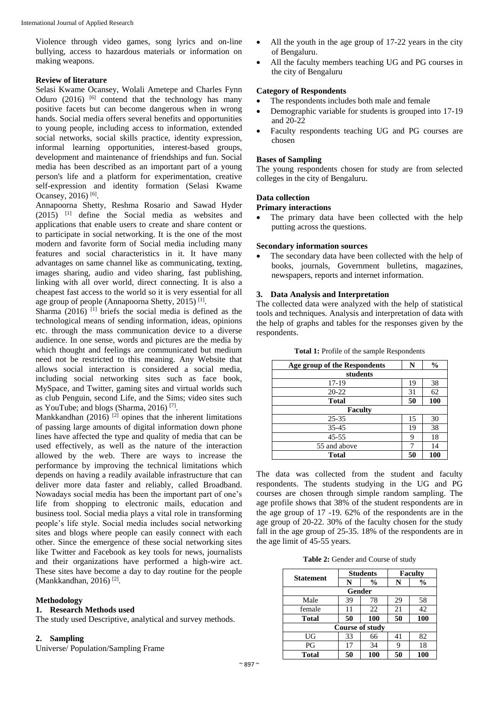Violence through video games, song lyrics and on-line bullying, access to hazardous materials or information on making weapons.

## **Review of literature**

Selasi Kwame Ocansey, Wolali Ametepe and Charles Fynn Oduro  $(2016)$  <sup>[6]</sup> contend that the technology has many positive facets but can become dangerous when in wrong hands. Social media offers several benefits and opportunities to young people, including access to information, extended social networks, social skills practice, identity expression, informal learning opportunities, interest-based groups, development and maintenance of friendships and fun. Social media has been described as an important part of a young person's life and a platform for experimentation, creative self-expression and identity formation (Selasi Kwame Ocansey, 2016)<sup>[6]</sup>.

Annapoorna Shetty, Reshma Rosario and Sawad Hyder (2015) [1] define the Social media as websites and applications that enable users to create and share content or to participate in social networking. It is the one of the most modern and favorite form of Social media including many features and social characteristics in it. It have many advantages on same channel like as communicating, texting, images sharing, audio and video sharing, fast publishing, linking with all over world, direct connecting. It is also a cheapest fast access to the world so it is very essential for all age group of people (Annapoorna Shetty, 2015)<sup>[1]</sup>.

Sharma  $(2016)$  <sup>[1]</sup> briefs the social media is defined as the technological means of sending information, ideas, opinions etc. through the mass communication device to a diverse audience. In one sense, words and pictures are the media by which thought and feelings are communicated but medium need not be restricted to this meaning. Any Website that allows social interaction is considered a social media, including social networking sites such as face book, MySpace, and Twitter, gaming sites and virtual worlds such as club Penguin, second Life, and the Sims; video sites such as YouTube; and blogs (Sharma, 2016)<sup>[7]</sup>.

Mankkandhan (2016) <sup>[2]</sup> opines that the inherent limitations of passing large amounts of digital information down phone lines have affected the type and quality of media that can be used effectively, as well as the nature of the interaction allowed by the web. There are ways to increase the performance by improving the technical limitations which depends on having a readily available infrastructure that can deliver more data faster and reliably, called Broadband. Nowadays social media has been the important part of one's life from shopping to electronic mails, education and business tool. Social media plays a vital role in transforming people's life style. Social media includes social networking sites and blogs where people can easily connect with each other. Since the emergence of these social networking sites like Twitter and Facebook as key tools for news, journalists and their organizations have performed a high-wire act. These sites have become a day to day routine for the people (Mankkandhan, 2016)<sup>[2]</sup>.

#### **Methodology**

#### **1. Research Methods used**

The study used Descriptive, analytical and survey methods.

#### **2. Sampling**

Universe/ Population/Sampling Frame

- All the youth in the age group of 17-22 years in the city of Bengaluru.
- All the faculty members teaching UG and PG courses in the city of Bengaluru

#### **Category of Respondents**

- The respondents includes both male and female
- Demographic variable for students is grouped into 17-19 and 20-22
- Faculty respondents teaching UG and PG courses are chosen

#### **Bases of Sampling**

The young respondents chosen for study are from selected colleges in the city of Bengaluru.

## **Data collection**

#### **Primary interactions**

 The primary data have been collected with the help putting across the questions.

#### **Secondary information sources**

 The secondary data have been collected with the help of books, journals, Government bulletins, magazines, newspapers, reports and internet information.

## **3. Data Analysis and Interpretation**

The collected data were analyzed with the help of statistical tools and techniques. Analysis and interpretation of data with the help of graphs and tables for the responses given by the respondents.

| Age group of the Respondents | N  | $\frac{0}{0}$ |
|------------------------------|----|---------------|
| students                     |    |               |
| 17-19                        | 19 | 38            |
| $20 - 22$                    | 31 | 62            |
| <b>Total</b>                 | 50 | 100           |
| <b>Faculty</b>               |    |               |
| $25 - 35$                    | 15 | 30            |
| $35 - 45$                    | 19 | 38            |
| $45 - 55$                    | 9  | 18            |
| 55 and above                 |    | 14            |
| Total                        | 50 | 100           |

**Total 1:** Profile of the sample Respondents

The data was collected from the student and faculty respondents. The students studying in the UG and PG courses are chosen through simple random sampling. The age profile shows that 38% of the student respondents are in the age group of 17 -19. 62% of the respondents are in the age group of 20-22. 30% of the faculty chosen for the study fall in the age group of 25-35. 18% of the respondents are in the age limit of 45-55 years.

Table 2: Gender and Course of study

| <b>Statement</b> |                        | <b>Students</b> | Faculty |     |  |  |  |  |  |  |
|------------------|------------------------|-----------------|---------|-----|--|--|--|--|--|--|
|                  | N                      | $\frac{0}{0}$   | N       | %   |  |  |  |  |  |  |
| Gender           |                        |                 |         |     |  |  |  |  |  |  |
| Male             | 39                     | 78              | 29      | 58  |  |  |  |  |  |  |
| female           | 11                     | 22              | 21      | 42  |  |  |  |  |  |  |
| <b>Total</b>     | 50                     | 100             | 50      | 100 |  |  |  |  |  |  |
|                  | <b>Course of study</b> |                 |         |     |  |  |  |  |  |  |
| UG               | 33                     | 66              | 41      | 82  |  |  |  |  |  |  |
| PG               | 17                     | 34              | 9       | 18  |  |  |  |  |  |  |
| <b>Total</b>     | 50                     | 100             | 50      | 100 |  |  |  |  |  |  |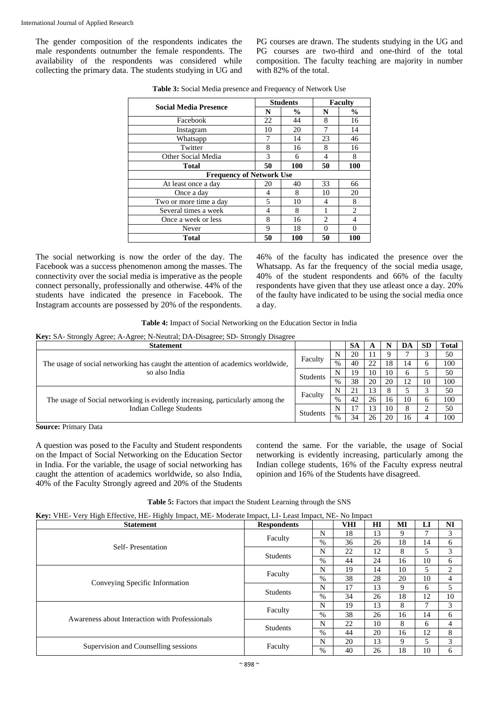The gender composition of the respondents indicates the male respondents outnumber the female respondents. The availability of the respondents was considered while collecting the primary data. The students studying in UG and PG courses are drawn. The students studying in the UG and PG courses are two-third and one-third of the total composition. The faculty teaching are majority in number with 82% of the total.

| <b>Social Media Presence</b>    |    | <b>Students</b> | <b>Faculty</b> |               |  |  |  |  |  |  |
|---------------------------------|----|-----------------|----------------|---------------|--|--|--|--|--|--|
|                                 | N  | $\frac{0}{0}$   | N              | $\frac{6}{9}$ |  |  |  |  |  |  |
| Facebook                        | 22 | 44              | 8              | 16            |  |  |  |  |  |  |
| Instagram                       | 10 | 20              |                | 14            |  |  |  |  |  |  |
| Whatsapp                        | 7  | 14              | 23             | 46            |  |  |  |  |  |  |
| Twitter                         | 8  | 16              | 8              | 16            |  |  |  |  |  |  |
| Other Social Media              | 3  | 6               | 4              | 8             |  |  |  |  |  |  |
| <b>Total</b>                    | 50 | 100             | 50             | 100           |  |  |  |  |  |  |
| <b>Frequency of Network Use</b> |    |                 |                |               |  |  |  |  |  |  |
| At least once a day             | 20 | 40              | 33             | 66            |  |  |  |  |  |  |
| Once a day                      | 4  | 8               | 10             | 20            |  |  |  |  |  |  |
| Two or more time a day          | 5  | 10              | 4              | 8             |  |  |  |  |  |  |
| Several times a week            | 4  | 8               |                | 2             |  |  |  |  |  |  |
| Once a week or less             | 8  | 16              | $\overline{c}$ | 4             |  |  |  |  |  |  |
| Never                           | 9  | 18              | $\Omega$       | $\Omega$      |  |  |  |  |  |  |
| <b>Total</b>                    | 50 | 100             | 50             | 100           |  |  |  |  |  |  |

**Table 3:** Social Media presence and Frequency of Network Use

The social networking is now the order of the day. The Facebook was a success phenomenon among the masses. The connectivity over the social media is imperative as the people connect personally, professionally and otherwise. 44% of the students have indicated the presence in Facebook. The Instagram accounts are possessed by 20% of the respondents.

46% of the faculty has indicated the presence over the Whatsapp. As far the frequency of the social media usage, 40% of the student respondents and 66% of the faculty respondents have given that they use atleast once a day. 20% of the faulty have indicated to be using the social media once a day.

**Table 4:** Impact of Social Networking on the Education Sector in India

**Key:** SA- Strongly Agree; A-Agree; N-Neutral; DA-Disagree; SD- Strongly Disagree

| <b>Statement</b>                                                                                                 |          |      | <b>SA</b> | A  | N  | DA  | <b>SD</b> | <b>Total</b> |
|------------------------------------------------------------------------------------------------------------------|----------|------|-----------|----|----|-----|-----------|--------------|
| Faculty<br>The usage of social networking has caught the attention of academics worldwide,                       |          | T.   | 20        |    |    |     |           | 50           |
|                                                                                                                  |          | $\%$ | 40        | 22 | 18 | 14  | O         | 100          |
| so also India                                                                                                    | Students | N    | 19        | 10 | 10 |     |           | 50           |
|                                                                                                                  |          | $\%$ | 38        | 20 | 20 | 1 ງ | 10        | 100          |
| The usage of Social networking is evidently increasing, particularly among the<br><b>Indian College Students</b> | Faculty  | N    | 21        | 13 |    |     |           | 50           |
|                                                                                                                  |          | $\%$ | 42        | 26 | 16 | 10  | 6         | 100          |
|                                                                                                                  | Students | N    |           | 13 | 10 |     | $\bigcap$ | 50           |
|                                                                                                                  |          | $\%$ | 34        | 26 | 20 | 16  | 4         | 100          |

**Source:** Primary Data

A question was posed to the Faculty and Student respondents on the Impact of Social Networking on the Education Sector in India. For the variable, the usage of social networking has caught the attention of academics worldwide, so also India, 40% of the Faculty Strongly agreed and 20% of the Students contend the same. For the variable, the usage of Social networking is evidently increasing, particularly among the Indian college students, 16% of the Faculty express neutral opinion and 16% of the Students have disagreed.

| <b>Table 5:</b> Factors that impact the Student Learning through the SNS |  |
|--------------------------------------------------------------------------|--|
|--------------------------------------------------------------------------|--|

|  |  | Key: VHE- Very High Effective, HE- Highly Impact, ME- Moderate Impact, LI- Least Impact, NE- No Impact |  |  |  |  |  |  |  |
|--|--|--------------------------------------------------------------------------------------------------------|--|--|--|--|--|--|--|
|  |  |                                                                                                        |  |  |  |  |  |  |  |

| <b>Statement</b>                               | <b>Respondents</b> |      | <b>VHI</b> | $\mathbf{H}$ | MI | LI | N <sub>I</sub> |
|------------------------------------------------|--------------------|------|------------|--------------|----|----|----------------|
|                                                | Faculty            | N    | 18         | 13           | 9  | ⇁  | 3              |
| Self-Presentation                              |                    | $\%$ | 36         | 26           | 18 | 14 | 6              |
|                                                | <b>Students</b>    | N    | 22         | 12           | 8  | 5  | 3              |
|                                                |                    | $\%$ | 44         | 24           | 16 | 10 | 6              |
|                                                | Faculty            | N    | 19         | 14           | 10 | 5  | 2              |
|                                                |                    | $\%$ | 38         | 28           | 20 | 10 | 4              |
| Conveying Specific Information                 | <b>Students</b>    | N    | 17         | 13           | 9  | 6  | 5              |
|                                                |                    | $\%$ | 34         | 26           | 18 | 12 | 10             |
|                                                |                    | N    | 19         | 13           | 8  |    | 3              |
| Awareness about Interaction with Professionals | Faculty            | $\%$ | 38         | 26           | 16 | 14 | 6              |
|                                                |                    | N    | 22         | 10           | 8  | 6  | 4              |
|                                                | <b>Students</b>    | $\%$ | 44         | 20           | 16 | 12 | 8              |
|                                                |                    | N    | 20         | 13           | 9  | 5  | 3              |
| Supervision and Counselling sessions           | Faculty            | $\%$ | 40         | 26           | 18 | 10 | 6              |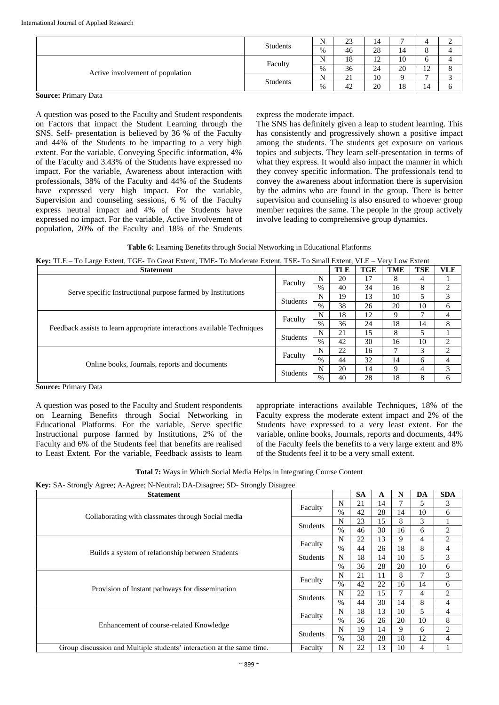|                                  | <b>Students</b> | N | $\bigcap$<br>نەك   | 14                   |          |                |  |
|----------------------------------|-----------------|---|--------------------|----------------------|----------|----------------|--|
|                                  |                 | % | 46                 | 28                   | 14       | u              |  |
| Active involvement of population | Faculty         | N | 18                 | 12<br>$\overline{1}$ | 10       |                |  |
|                                  |                 | % | 36                 | 24                   | 20       | $\sim$<br>- 12 |  |
|                                  |                 | N | $\sim$<br>$\sim$ 1 | 10                   | $\Omega$ | -              |  |
|                                  | <b>Students</b> | % | 42                 | 20                   | 18       | 14             |  |

**Source:** Primary Data

A question was posed to the Faculty and Student respondents on Factors that impact the Student Learning through the SNS. Self- presentation is believed by 36 % of the Faculty and 44% of the Students to be impacting to a very high extent. For the variable, Conveying Specific information, 4% of the Faculty and 3.43% of the Students have expressed no impact. For the variable, Awareness about interaction with professionals, 38% of the Faculty and 44% of the Students have expressed very high impact. For the variable, Supervision and counseling sessions, 6 % of the Faculty express neutral impact and 4% of the Students have expressed no impact. For the variable, Active involvement of population, 20% of the Faculty and 18% of the Students

express the moderate impact.

The SNS has definitely given a leap to student learning. This has consistently and progressively shown a positive impact among the students. The students get exposure on various topics and subjects. They learn self-presentation in terms of what they express. It would also impact the manner in which they convey specific information. The professionals tend to convey the awareness about information there is supervision by the admins who are found in the group. There is better supervision and counseling is also ensured to whoever group member requires the same. The people in the group actively involve leading to comprehensive group dynamics.

**Table 6:** Learning Benefits through Social Networking in Educational Platforms

**Key:** TLE – To Large Extent, TGE- To Great Extent, TME- To Moderate Extent, TSE- To Small Extent, VLE – Very Low Extent

| <b>Statement</b>                                                        |                 |      | <b>TLE</b> | <b>TGE</b> | TME | <b>TSE</b> | <b>VLE</b>     |
|-------------------------------------------------------------------------|-----------------|------|------------|------------|-----|------------|----------------|
|                                                                         | Faculty         | N    | 20         | 17         | 8   | 4          |                |
| Serve specific Instructional purpose farmed by Institutions             |                 | $\%$ | 40         | 34         | 16  | 8          | 2              |
|                                                                         | <b>Students</b> | N    | 19         | 13         | 10  | 5          | 3              |
|                                                                         |                 | $\%$ | 38         | 26         | 20  | 10         | 6              |
|                                                                         | Faculty         | N    | 18         | 12         | 9   |            | 4              |
| Feedback assists to learn appropriate interactions available Techniques |                 | $\%$ | 36         | 24         | 18  | 14         | 8              |
|                                                                         |                 | N    | 21         | 15         | 8   |            |                |
|                                                                         | <b>Students</b> | $\%$ | 42         | 30         | 16  | 10         | $\mathfrak{D}$ |
|                                                                         | Faculty         | N    | 22         | 16         | Ξ   | 3          | $\mathfrak{D}$ |
|                                                                         |                 | $\%$ | 44         | 32         | 14  | 6          | 4              |
| Online books, Journals, reports and documents                           | <b>Students</b> | N    | 20         | 14         | 9   | 4          | 3              |
|                                                                         |                 | $\%$ | 40         | 28         | 18  | 8          | 6              |

**Source:** Primary Data

A question was posed to the Faculty and Student respondents on Learning Benefits through Social Networking in Educational Platforms. For the variable, Serve specific Instructional purpose farmed by Institutions, 2% of the Faculty and 6% of the Students feel that benefits are realised to Least Extent. For the variable, Feedback assists to learn

appropriate interactions available Techniques, 18% of the Faculty express the moderate extent impact and 2% of the Students have expressed to a very least extent. For the variable, online books, Journals, reports and documents, 44% of the Faculty feels the benefits to a very large extent and 8% of the Students feel it to be a very small extent.

| Total 7: Ways in Which Social Media Helps in Integrating Course Content |
|-------------------------------------------------------------------------|
|-------------------------------------------------------------------------|

**Key:** SA- Strongly Agree; A-Agree; N-Neutral; DA-Disagree; SD- Strongly Disagree

| <b>Statement</b>                                                      |                 |      | <b>SA</b> | A  | N  | DA | <b>SDA</b>     |
|-----------------------------------------------------------------------|-----------------|------|-----------|----|----|----|----------------|
|                                                                       | Faculty         | N    | 21        | 14 | 7  | 5  | 3              |
| Collaborating with classmates through Social media                    |                 | $\%$ | 42        | 28 | 14 | 10 | 6              |
|                                                                       | <b>Students</b> | N    | 23        | 15 | 8  | 3  |                |
|                                                                       |                 | $\%$ | 46        | 30 | 16 | 6  | $\overline{c}$ |
|                                                                       | Faculty         | N    | 22        | 13 | 9  | 4  | $\overline{2}$ |
| Builds a system of relationship between Students                      |                 | $\%$ | 44        | 26 | 18 | 8  | $\overline{4}$ |
|                                                                       | <b>Students</b> | N    | 18        | 14 | 10 | 5  | 3              |
|                                                                       |                 | $\%$ | 36        | 28 | 20 | 10 | 6              |
|                                                                       | Faculty         | N    | 21        | 11 | 8  | 7  | 3              |
| Provision of Instant pathways for dissemination                       |                 | $\%$ | 42        | 22 | 16 | 14 | 6              |
|                                                                       | <b>Students</b> | N    | 22        | 15 | 7  | 4  | $\overline{c}$ |
|                                                                       |                 | $\%$ | 44        | 30 | 14 | 8  | 4              |
|                                                                       | Faculty         | N    | 18        | 13 | 10 | 5  | 4              |
| Enhancement of course-related Knowledge                               |                 | $\%$ | 36        | 26 | 20 | 10 | 8              |
|                                                                       | <b>Students</b> | N    | 19        | 14 | 9  | 6  | $\overline{2}$ |
|                                                                       |                 | $\%$ | 38        | 28 | 18 | 12 | $\overline{4}$ |
| Group discussion and Multiple students' interaction at the same time. | Faculty         | N    | 22        | 13 | 10 | 4  |                |